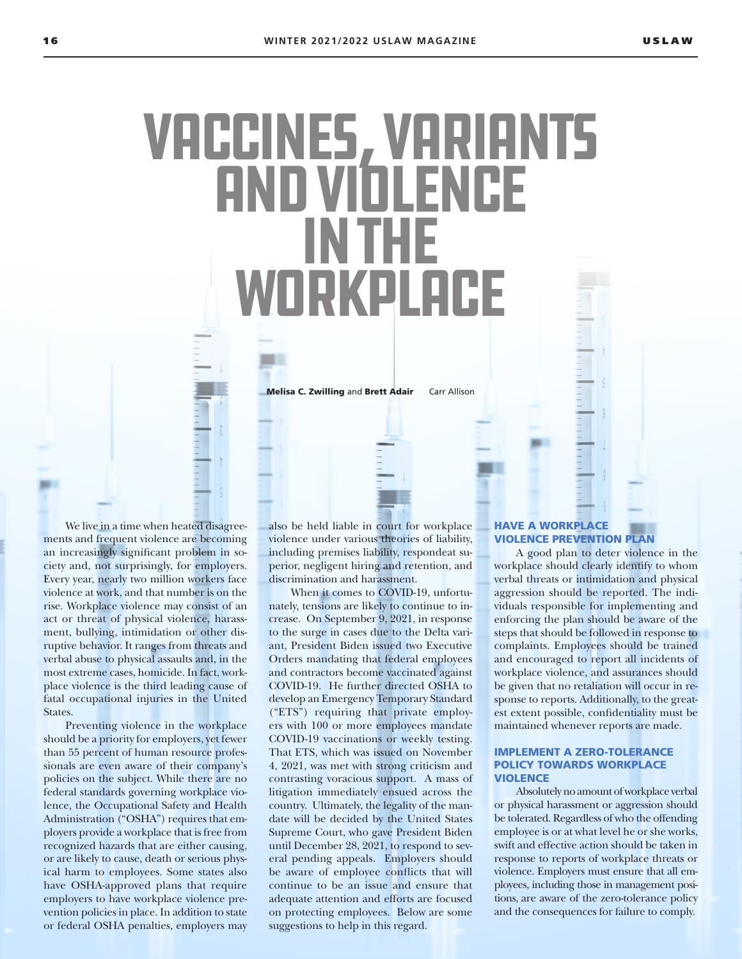# Vaccines, Variants and Violence in the Workplace

Melisa C. Zwilling and Brett Adair Carr Allison

We live in a time when heated disagreements and frequent violence are becoming an increasingly significant problem in society and, not surprisingly, for employers. Every year, nearly two million workers face violence at work, and that number is on the rise. Workplace violence may consist of an act or threat of physical violence, harassment, bullying, intimidation or other disruptive behavior. It ranges from threats and verbal abuse to physical assaults and, in the most extreme cases, homicide. In fact, workplace violence is the third leading cause of fatal occupational injuries in the United States.

Preventing violence in the workplace should be a priority for employers, yet fewer than 55 percent of human resource professionals are even aware of their company's policies on the subject. While there are no federal standards governing workplace violence, the Occupational Safety and Health Administration ("OSHA") requires that employers provide a workplace that is free from recognized hazards that are either causing, or are likely to cause, death or serious physical harm to employees. Some states also have OSHA-approved plans that require employers to have workplace violence prevention policies in place. In addition to state or federal OSHA penalties, employers may

also be held liable in court for workplace violence under various theories of liability, including premises liability, respondeat superior, negligent hiring and retention, and discrimination and harassment.

When it comes to COVID-19, unfortunately, tensions are likely to continue to increase. On September 9, 2021, in response to the surge in cases due to the Delta variant, President Biden issued two Executive Orders mandating that federal employees and contractors become vaccinated against COVID-19. He further directed OSHA to develop an Emergency Temporary Standard ("ETS") requiring that private employers with 100 or more employees mandate COVID-19 vaccinations or weekly testing. That ETS, which was issued on November 4, 2021, was met with strong criticism and contrasting voracious support. A mass of litigation immediately ensued across the country. Ultimately, the legality of the mandate will be decided by the United States Supreme Court, who gave President Biden until December 28, 2021, to respond to several pending appeals. Employers should be aware of employee conflicts that will continue to be an issue and ensure that adequate attention and efforts are focused on protecting employees. Below are some suggestions to help in this regard.

# HAVE A WORKPLACE VIOLENCE PREVENTION PLAN

A good plan to deter violence in the workplace should clearly identify to whom verbal threats or intimidation and physical aggression should be reported. The individuals responsible for implementing and enforcing the plan should be aware of the steps that should be followed in response to complaints. Employees should be trained and encouraged to report all incidents of workplace violence, and assurances should be given that no retaliation will occur in response to reports. Additionally, to the greatest extent possible, confidentiality must be maintained whenever reports are made.

## IMPLEMENT A ZERO-TOLERANCE POLICY TOWARDS WORKPLACE **VIOLENCE**

Absolutely no amount of workplace verbal or physical harassment or aggression should be tolerated. Regardless of who the offending employee is or at what level he or she works, swift and effective action should be taken in response to reports of workplace threats or violence. Employers must ensure that all employees, including those in management positions, are aware of the zero-tolerance policy and the consequences for failure to comply.